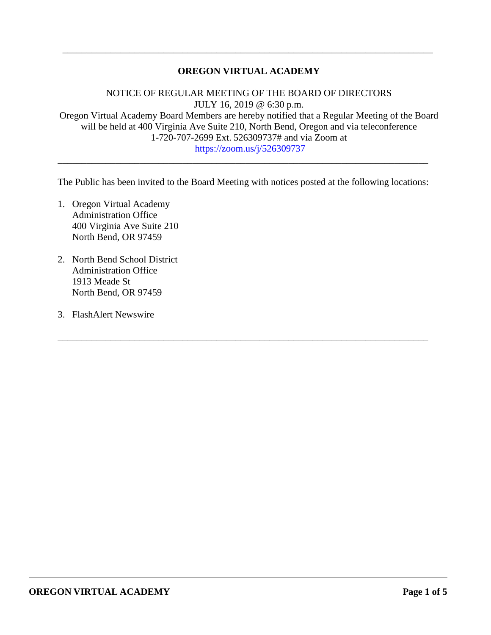### **OREGON VIRTUAL ACADEMY**

\_\_\_\_\_\_\_\_\_\_\_\_\_\_\_\_\_\_\_\_\_\_\_\_\_\_\_\_\_\_\_\_\_\_\_\_\_\_\_\_\_\_\_\_\_\_\_\_\_\_\_\_\_\_\_\_\_\_\_\_\_\_\_\_\_\_\_\_\_\_\_\_\_\_\_\_\_

NOTICE OF REGULAR MEETING OF THE BOARD OF DIRECTORS JULY 16, 2019 @ 6:30 p.m. Oregon Virtual Academy Board Members are hereby notified that a Regular Meeting of the Board will be held at 400 Virginia Ave Suite 210, North Bend, Oregon and via teleconference 1-720-707-2699 Ext. 526309737# and via Zoom at <https://zoom.us/j/526309737>

The Public has been invited to the Board Meeting with notices posted at the following locations:

\_\_\_\_\_\_\_\_\_\_\_\_\_\_\_\_\_\_\_\_\_\_\_\_\_\_\_\_\_\_\_\_\_\_\_\_\_\_\_\_\_\_\_\_\_\_\_\_\_\_\_\_\_\_\_\_\_\_\_\_\_\_\_\_\_\_\_\_\_\_\_\_\_\_\_\_\_

\_\_\_\_\_\_\_\_\_\_\_\_\_\_\_\_\_\_\_\_\_\_\_\_\_\_\_\_\_\_\_\_\_\_\_\_\_\_\_\_\_\_\_\_\_\_\_\_\_\_\_\_\_\_\_\_\_\_\_\_\_\_\_\_\_\_\_\_\_\_\_\_\_\_\_\_\_

- 1. Oregon Virtual Academy Administration Office 400 Virginia Ave Suite 210 North Bend, OR 97459
- 2. North Bend School District Administration Office 1913 Meade St North Bend, OR 97459
- 3. FlashAlert Newswire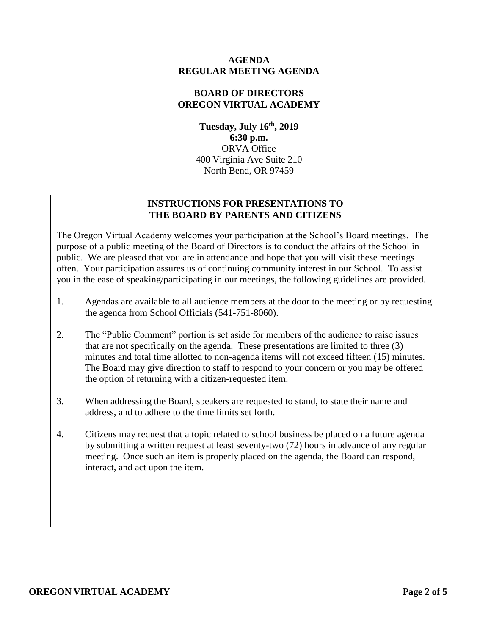### **AGENDA REGULAR MEETING AGENDA**

### **BOARD OF DIRECTORS OREGON VIRTUAL ACADEMY**

**Tuesday, July 16 th , 2019 6:30 p.m.** ORVA Office 400 Virginia Ave Suite 210 North Bend, OR 97459

## **INSTRUCTIONS FOR PRESENTATIONS TO THE BOARD BY PARENTS AND CITIZENS**

The Oregon Virtual Academy welcomes your participation at the School's Board meetings. The purpose of a public meeting of the Board of Directors is to conduct the affairs of the School in public. We are pleased that you are in attendance and hope that you will visit these meetings often. Your participation assures us of continuing community interest in our School. To assist you in the ease of speaking/participating in our meetings, the following guidelines are provided.

- 1. Agendas are available to all audience members at the door to the meeting or by requesting the agenda from School Officials (541-751-8060).
- 2. The "Public Comment" portion is set aside for members of the audience to raise issues that are not specifically on the agenda. These presentations are limited to three (3) minutes and total time allotted to non-agenda items will not exceed fifteen (15) minutes. The Board may give direction to staff to respond to your concern or you may be offered the option of returning with a citizen-requested item.
- 3. When addressing the Board, speakers are requested to stand, to state their name and address, and to adhere to the time limits set forth.
- 4. Citizens may request that a topic related to school business be placed on a future agenda by submitting a written request at least seventy-two (72) hours in advance of any regular meeting. Once such an item is properly placed on the agenda, the Board can respond, interact, and act upon the item.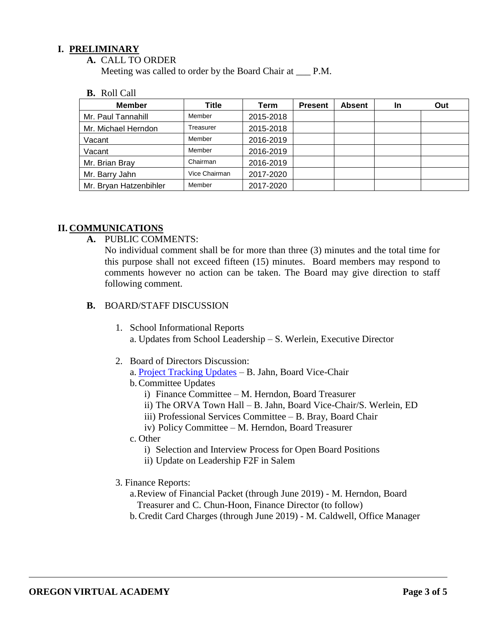### **I. PRELIMINARY**

**A.** CALL TO ORDER

Meeting was called to order by the Board Chair at \_\_\_ P.M.

**B.** Roll Call

| <b>Member</b>          | Title         | Term      | <b>Present</b> | <b>Absent</b> | <b>In</b> | Out |
|------------------------|---------------|-----------|----------------|---------------|-----------|-----|
| Mr. Paul Tannahill     | Member        | 2015-2018 |                |               |           |     |
| Mr. Michael Herndon    | Treasurer     | 2015-2018 |                |               |           |     |
| Vacant                 | Member        | 2016-2019 |                |               |           |     |
| Vacant                 | Member        | 2016-2019 |                |               |           |     |
| Mr. Brian Bray         | Chairman      | 2016-2019 |                |               |           |     |
| Mr. Barry Jahn         | Vice Chairman | 2017-2020 |                |               |           |     |
| Mr. Bryan Hatzenbihler | Member        | 2017-2020 |                |               |           |     |

### **II. COMMUNICATIONS**

**A.** PUBLIC COMMENTS:

No individual comment shall be for more than three (3) minutes and the total time for this purpose shall not exceed fifteen (15) minutes. Board members may respond to comments however no action can be taken. The Board may give direction to staff following comment.

#### **B.** BOARD/STAFF DISCUSSION

- 1. School Informational Reports a. Updates from School Leadership – S. Werlein, Executive Director
- 2. Board of Directors Discussion:
	- a. [Project Tracking Updates](https://docs.google.com/document/d/1uT2qnXvM58wKvtp4pBh7wYaRa91nFy_5RTEfYu7FOyQ/edit?usp=sharing) B. Jahn, Board Vice-Chair
	- b.Committee Updates
		- i) Finance Committee M. Herndon, Board Treasurer
		- ii) The ORVA Town Hall B. Jahn, Board Vice-Chair/S. Werlein, ED
		- iii) Professional Services Committee B. Bray, Board Chair
		- iv) Policy Committee M. Herndon, Board Treasurer
	- c. Other
		- i) Selection and Interview Process for Open Board Positions
		- ii) Update on Leadership F2F in Salem
- 3. Finance Reports:
	- a.Review of Financial Packet (through June 2019) M. Herndon, Board Treasurer and C. Chun-Hoon, Finance Director (to follow)
	- b.Credit Card Charges (through June 2019) M. Caldwell, Office Manager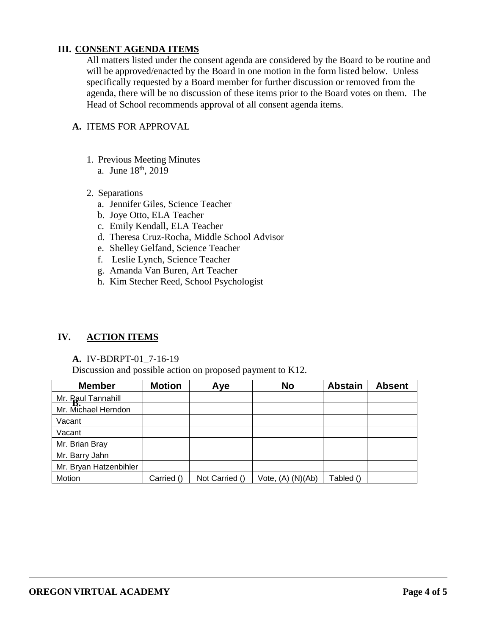### **III. CONSENT AGENDA ITEMS**

All matters listed under the consent agenda are considered by the Board to be routine and will be approved/enacted by the Board in one motion in the form listed below. Unless specifically requested by a Board member for further discussion or removed from the agenda, there will be no discussion of these items prior to the Board votes on them. The Head of School recommends approval of all consent agenda items.

### **A.** ITEMS FOR APPROVAL

- 1. Previous Meeting Minutes
	- a. June  $18^{th}$ ,  $2019$

#### 2. Separations

- a. Jennifer Giles, Science Teacher
- b. Joye Otto, ELA Teacher
- c. Emily Kendall, ELA Teacher
- d. Theresa Cruz-Rocha, Middle School Advisor
- e. Shelley Gelfand, Science Teacher
- f. Leslie Lynch, Science Teacher
- g. Amanda Van Buren, Art Teacher
- h. Kim Stecher Reed, School Psychologist

### **IV. ACTION ITEMS**

#### **A.** IV-BDRPT-01\_7-16-19

Discussion and possible action on proposed payment to K12.

| <b>Member</b>          | <b>Motion</b> | Aye            | <b>No</b>         | <b>Abstain</b> | <b>Absent</b> |
|------------------------|---------------|----------------|-------------------|----------------|---------------|
| Mr. Paul Tannahill     |               |                |                   |                |               |
| Mr. Michael Herndon    |               |                |                   |                |               |
| Vacant                 |               |                |                   |                |               |
| Vacant                 |               |                |                   |                |               |
| Mr. Brian Bray         |               |                |                   |                |               |
| Mr. Barry Jahn         |               |                |                   |                |               |
| Mr. Bryan Hatzenbihler |               |                |                   |                |               |
| Motion                 | Carried ()    | Not Carried () | Vote, (A) (N)(Ab) | Tabled ()      |               |